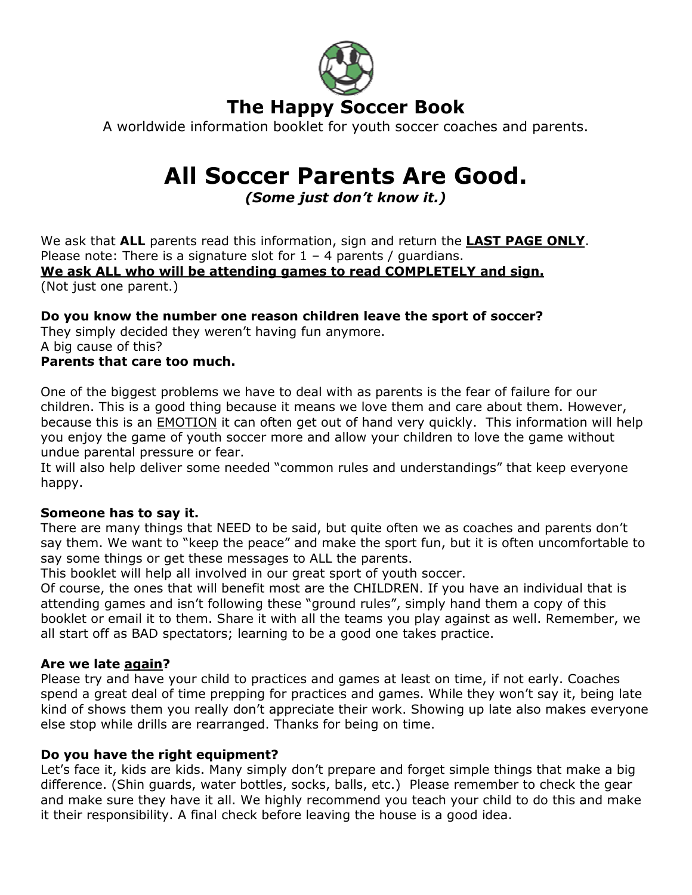

A worldwide information booklet for youth soccer coaches and parents.

# All Soccer Parents Are Good.

# (Some just don't know it.)

We ask that ALL parents read this information, sign and return the LAST PAGE ONLY. Please note: There is a signature slot for  $1 - 4$  parents / quardians. We ask ALL who will be attending games to read COMPLETELY and sign. (Not just one parent.)

# Do you know the number one reason children leave the sport of soccer?

They simply decided they weren't having fun anymore. A big cause of this?

# Parents that care too much.

One of the biggest problems we have to deal with as parents is the fear of failure for our children. This is a good thing because it means we love them and care about them. However, because this is an **EMOTION** it can often get out of hand very quickly. This information will help you enjoy the game of youth soccer more and allow your children to love the game without undue parental pressure or fear.

It will also help deliver some needed "common rules and understandings" that keep everyone happy.

### Someone has to say it.

There are many things that NEED to be said, but quite often we as coaches and parents don't say them. We want to "keep the peace" and make the sport fun, but it is often uncomfortable to say some things or get these messages to ALL the parents.

This booklet will help all involved in our great sport of youth soccer.

Of course, the ones that will benefit most are the CHILDREN. If you have an individual that is attending games and isn't following these "ground rules", simply hand them a copy of this booklet or email it to them. Share it with all the teams you play against as well. Remember, we all start off as BAD spectators; learning to be a good one takes practice.

#### Are we late again?

Please try and have your child to practices and games at least on time, if not early. Coaches spend a great deal of time prepping for practices and games. While they won't say it, being late kind of shows them you really don't appreciate their work. Showing up late also makes everyone else stop while drills are rearranged. Thanks for being on time.

### Do you have the right equipment?

Let's face it, kids are kids. Many simply don't prepare and forget simple things that make a big difference. (Shin guards, water bottles, socks, balls, etc.) Please remember to check the gear and make sure they have it all. We highly recommend you teach your child to do this and make it their responsibility. A final check before leaving the house is a good idea.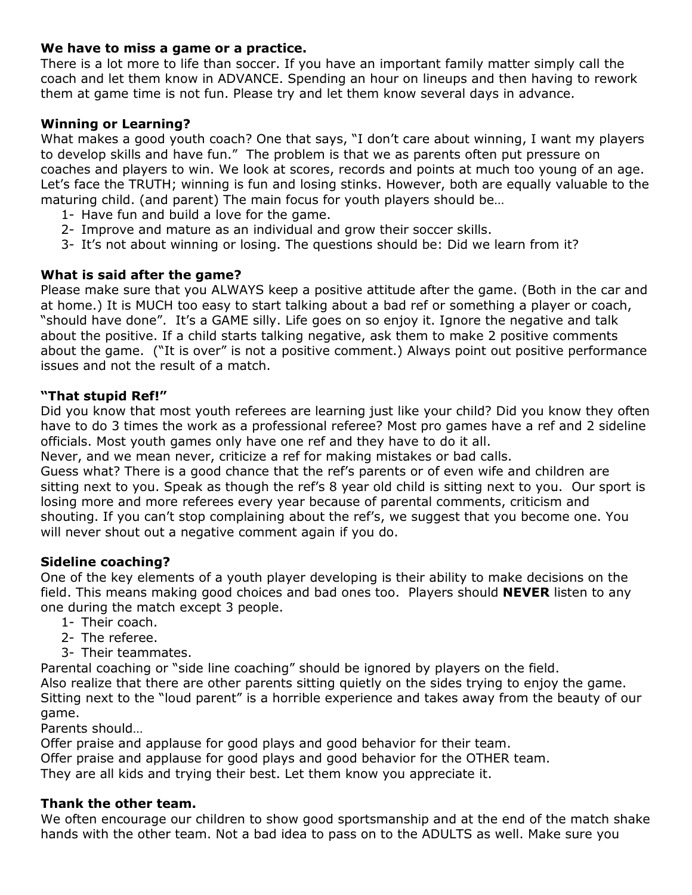#### We have to miss a game or a practice.

There is a lot more to life than soccer. If you have an important family matter simply call the coach and let them know in ADVANCE. Spending an hour on lineups and then having to rework them at game time is not fun. Please try and let them know several days in advance.

### Winning or Learning?

What makes a good youth coach? One that says, "I don't care about winning, I want my players to develop skills and have fun." The problem is that we as parents often put pressure on coaches and players to win. We look at scores, records and points at much too young of an age. Let's face the TRUTH; winning is fun and losing stinks. However, both are equally valuable to the maturing child. (and parent) The main focus for youth players should be…

- 1- Have fun and build a love for the game.
- 2- Improve and mature as an individual and grow their soccer skills.
- 3- It's not about winning or losing. The questions should be: Did we learn from it?

# What is said after the game?

Please make sure that you ALWAYS keep a positive attitude after the game. (Both in the car and at home.) It is MUCH too easy to start talking about a bad ref or something a player or coach, "should have done". It's a GAME silly. Life goes on so enjoy it. Ignore the negative and talk about the positive. If a child starts talking negative, ask them to make 2 positive comments about the game. ("It is over" is not a positive comment.) Always point out positive performance issues and not the result of a match.

### "That stupid Ref!"

Did you know that most youth referees are learning just like your child? Did you know they often have to do 3 times the work as a professional referee? Most pro games have a ref and 2 sideline officials. Most youth games only have one ref and they have to do it all.

Never, and we mean never, criticize a ref for making mistakes or bad calls.

Guess what? There is a good chance that the ref's parents or of even wife and children are sitting next to you. Speak as though the ref's 8 year old child is sitting next to you. Our sport is losing more and more referees every year because of parental comments, criticism and shouting. If you can't stop complaining about the ref's, we suggest that you become one. You will never shout out a negative comment again if you do.

### Sideline coaching?

One of the key elements of a youth player developing is their ability to make decisions on the field. This means making good choices and bad ones too. Players should **NEVER** listen to any one during the match except 3 people.

- 1- Their coach.
- 2- The referee.
- 3- Their teammates.

Parental coaching or "side line coaching" should be ignored by players on the field. Also realize that there are other parents sitting quietly on the sides trying to enjoy the game. Sitting next to the "loud parent" is a horrible experience and takes away from the beauty of our game.

Parents should…

Offer praise and applause for good plays and good behavior for their team.

Offer praise and applause for good plays and good behavior for the OTHER team.

They are all kids and trying their best. Let them know you appreciate it.

### Thank the other team.

We often encourage our children to show good sportsmanship and at the end of the match shake hands with the other team. Not a bad idea to pass on to the ADULTS as well. Make sure you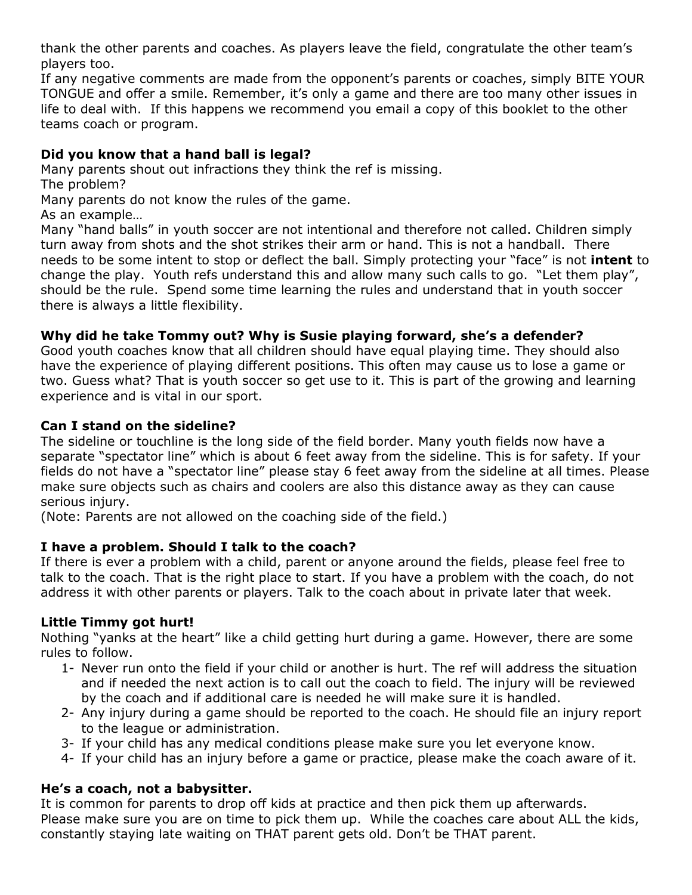thank the other parents and coaches. As players leave the field, congratulate the other team's players too.

If any negative comments are made from the opponent's parents or coaches, simply BITE YOUR TONGUE and offer a smile. Remember, it's only a game and there are too many other issues in life to deal with. If this happens we recommend you email a copy of this booklet to the other teams coach or program.

# Did you know that a hand ball is legal?

Many parents shout out infractions they think the ref is missing.

The problem?

Many parents do not know the rules of the game.

As an example…

Many "hand balls" in youth soccer are not intentional and therefore not called. Children simply turn away from shots and the shot strikes their arm or hand. This is not a handball. There needs to be some intent to stop or deflect the ball. Simply protecting your "face" is not **intent** to change the play. Youth refs understand this and allow many such calls to go. "Let them play", should be the rule. Spend some time learning the rules and understand that in youth soccer there is always a little flexibility.

# Why did he take Tommy out? Why is Susie playing forward, she's a defender?

Good youth coaches know that all children should have equal playing time. They should also have the experience of playing different positions. This often may cause us to lose a game or two. Guess what? That is youth soccer so get use to it. This is part of the growing and learning experience and is vital in our sport.

# Can I stand on the sideline?

The sideline or touchline is the long side of the field border. Many youth fields now have a separate "spectator line" which is about 6 feet away from the sideline. This is for safety. If your fields do not have a "spectator line" please stay 6 feet away from the sideline at all times. Please make sure objects such as chairs and coolers are also this distance away as they can cause serious injury.

(Note: Parents are not allowed on the coaching side of the field.)

# I have a problem. Should I talk to the coach?

If there is ever a problem with a child, parent or anyone around the fields, please feel free to talk to the coach. That is the right place to start. If you have a problem with the coach, do not address it with other parents or players. Talk to the coach about in private later that week.

# Little Timmy got hurt!

Nothing "yanks at the heart" like a child getting hurt during a game. However, there are some rules to follow.

- 1- Never run onto the field if your child or another is hurt. The ref will address the situation and if needed the next action is to call out the coach to field. The injury will be reviewed by the coach and if additional care is needed he will make sure it is handled.
- 2- Any injury during a game should be reported to the coach. He should file an injury report to the league or administration.
- 3- If your child has any medical conditions please make sure you let everyone know.
- 4- If your child has an injury before a game or practice, please make the coach aware of it.

# He's a coach, not a babysitter.

It is common for parents to drop off kids at practice and then pick them up afterwards. Please make sure you are on time to pick them up. While the coaches care about ALL the kids, constantly staying late waiting on THAT parent gets old. Don't be THAT parent.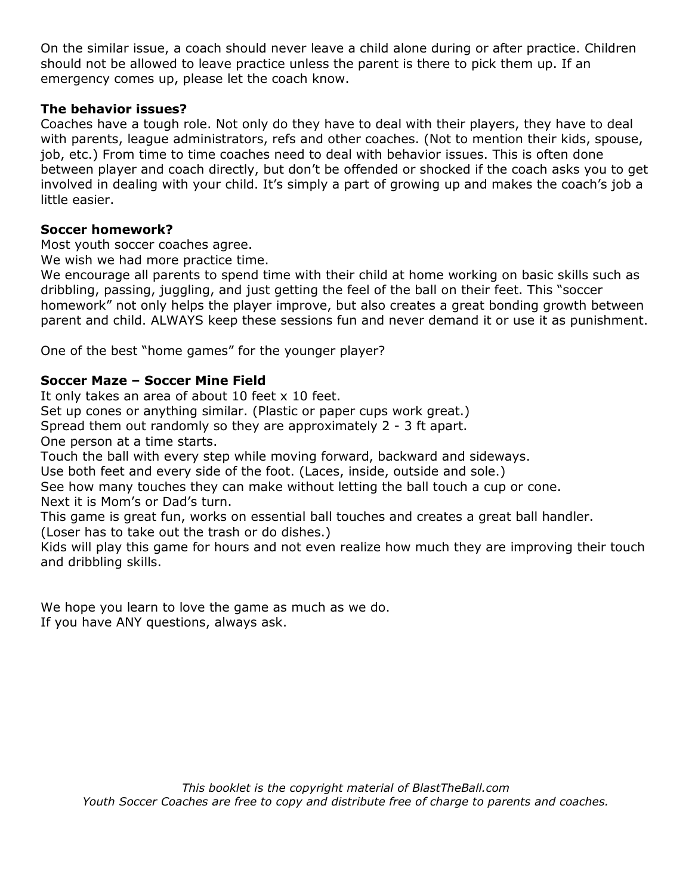On the similar issue, a coach should never leave a child alone during or after practice. Children should not be allowed to leave practice unless the parent is there to pick them up. If an emergency comes up, please let the coach know.

### The behavior issues?

Coaches have a tough role. Not only do they have to deal with their players, they have to deal with parents, league administrators, refs and other coaches. (Not to mention their kids, spouse, job, etc.) From time to time coaches need to deal with behavior issues. This is often done between player and coach directly, but don't be offended or shocked if the coach asks you to get involved in dealing with your child. It's simply a part of growing up and makes the coach's job a little easier.

# Soccer homework?

Most youth soccer coaches agree.

We wish we had more practice time.

We encourage all parents to spend time with their child at home working on basic skills such as dribbling, passing, juggling, and just getting the feel of the ball on their feet. This "soccer homework" not only helps the player improve, but also creates a great bonding growth between parent and child. ALWAYS keep these sessions fun and never demand it or use it as punishment.

One of the best "home games" for the younger player?

# Soccer Maze – Soccer Mine Field

It only takes an area of about 10 feet x 10 feet.

Set up cones or anything similar. (Plastic or paper cups work great.)

Spread them out randomly so they are approximately 2 - 3 ft apart.

One person at a time starts.

Touch the ball with every step while moving forward, backward and sideways.

Use both feet and every side of the foot. (Laces, inside, outside and sole.)

See how many touches they can make without letting the ball touch a cup or cone. Next it is Mom's or Dad's turn.

This game is great fun, works on essential ball touches and creates a great ball handler.

(Loser has to take out the trash or do dishes.)

Kids will play this game for hours and not even realize how much they are improving their touch and dribbling skills.

We hope you learn to love the game as much as we do. If you have ANY questions, always ask.